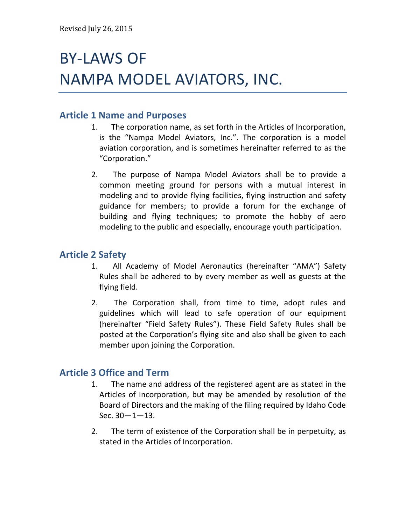# **BY-LAWS OF** NAMPA MODEL AVIATORS, INC.

## **Article 1 Name and Purposes**

- 1. The corporation name, as set forth in the Articles of Incorporation, is the "Nampa Model Aviators, Inc.". The corporation is a model aviation corporation, and is sometimes hereinafter referred to as the "Corporation."
- 2. The purpose of Nampa Model Aviators shall be to provide a common meeting ground for persons with a mutual interest in modeling and to provide flying facilities, flying instruction and safety guidance for members; to provide a forum for the exchange of building and flying techniques; to promote the hobby of aero modeling to the public and especially, encourage youth participation.

## **Article(2 Safety**

- 1. All Academy of Model Aeronautics (hereinafter "AMA") Safety Rules shall be adhered to by every member as well as guests at the flying field.
- 2. The Corporation shall, from time to time, adopt rules and guidelines which will lead to safe operation of our equipment (hereinafter "Field Safety Rules"). These Field Safety Rules shall be posted at the Corporation's flying site and also shall be given to each member upon joining the Corporation.

## **Article 3 Office and Term**

- 1. The name and address of the registered agent are as stated in the Articles of Incorporation, but may be amended by resolution of the Board of Directors and the making of the filing required by Idaho Code Sec.  $30 - 1 - 13$ .
- 2. The term of existence of the Corporation shall be in perpetuity, as stated in the Articles of Incorporation.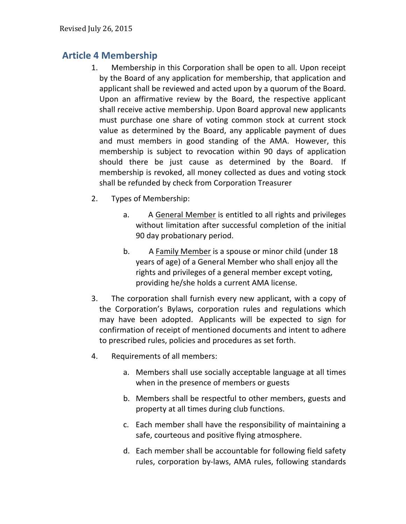## **Article(4 Membership**

- 1. Membership in this Corporation shall be open to all. Upon receipt by the Board of any application for membership, that application and applicant shall be reviewed and acted upon by a quorum of the Board. Upon an affirmative review by the Board, the respective applicant shall receive active membership. Upon Board approval new applicants must purchase one share of voting common stock at current stock value as determined by the Board, any applicable payment of dues and must members in good standing of the AMA. However, this membership is subject to revocation within 90 days of application should there be just cause as determined by the Board. If membership is revoked, all money collected as dues and voting stock shall be refunded by check from Corporation Treasurer
- 2. Types of Membership:
	- a. A General Member is entitled to all rights and privileges without limitation after successful completion of the initial 90 day probationary period.
	- b. A Family Member is a spouse or minor child (under 18) years of age) of a General Member who shall enjoy all the rights and privileges of a general member except voting, providing he/she holds a current AMA license.
- 3. The corporation shall furnish every new applicant, with a copy of the Corporation's Bylaws, corporation rules and regulations which may have been adopted. Applicants will be expected to sign for confirmation of receipt of mentioned documents and intent to adhere to prescribed rules, policies and procedures as set forth.
- 4. Requirements of all members:
	- a. Members shall use socially acceptable language at all times when in the presence of members or guests
	- b. Members shall be respectful to other members, guests and property at all times during club functions.
	- c. Each member shall have the responsibility of maintaining a safe, courteous and positive flying atmosphere.
	- d. Each member shall be accountable for following field safety rules, corporation by-laws, AMA rules, following standards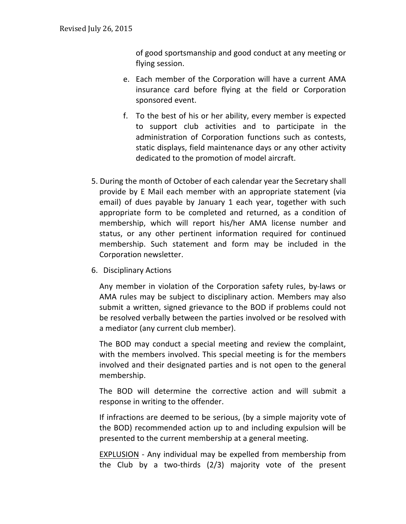of good sportsmanship and good conduct at any meeting or flying session.

- e. Each member of the Corporation will have a current AMA insurance card before flying at the field or Corporation sponsored event.
- f. To the best of his or her ability, every member is expected to support club activities and to participate in the administration of Corporation functions such as contests, static displays, field maintenance days or any other activity dedicated to the promotion of model aircraft.
- 5. During the month of October of each calendar year the Secretary shall provide by E Mail each member with an appropriate statement (via) email) of dues payable by January 1 each year, together with such appropriate form to be completed and returned, as a condition of membership, which will report his/her AMA license number and status, or any other pertinent information required for continued membership. Such statement and form may be included in the Corporation newsletter.
- 6. Disciplinary Actions

Any member in violation of the Corporation safety rules, by-laws or AMA rules may be subject to disciplinary action. Members may also submit a written, signed grievance to the BOD if problems could not be resolved verbally between the parties involved or be resolved with a mediator (any current club member).

The BOD may conduct a special meeting and review the complaint, with the members involved. This special meeting is for the members involved and their designated parties and is not open to the general membership.

The BOD will determine the corrective action and will submit a response in writing to the offender.

If infractions are deemed to be serious, (by a simple majority vote of the BOD) recommended action up to and including expulsion will be presented to the current membership at a general meeting.

EXPLUSION - Any individual may be expelled from membership from the Club by a two-thirds  $(2/3)$  majority vote of the present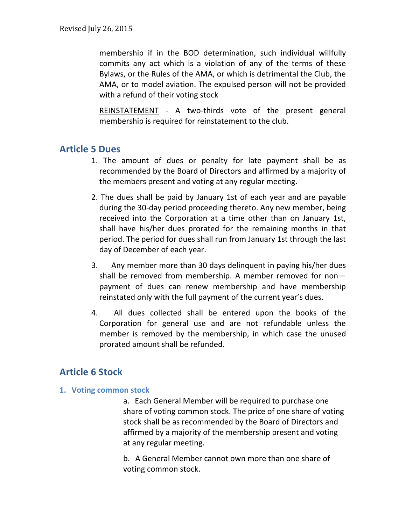membership if in the BOD determination, such individual willfully commits any act which is a violation of any of the terms of these Bylaws, or the Rules of the AMA, or which is detrimental the Club, the AMA, or to model aviation. The expulsed person will not be provided with a refund of their voting stock

REINSTATEMENT - A two-thirds vote of the present general membership is required for reinstatement to the club.

## **Article(5 Dues**

- 1. The amount of dues or penalty for late payment shall be as recommended by the Board of Directors and affirmed by a majority of the members present and voting at any regular meeting.
- 2. The dues shall be paid by January 1st of each year and are payable during the 30-day period proceeding thereto. Any new member, being received into the Corporation at a time other than on January 1st, shall have his/her dues prorated for the remaining months in that period. The period for dues shall run from January 1st through the last day of December of each year.
- 3. Any member more than 30 days delinquent in paying his/her dues shall be removed from membership. A member removed for nonpayment of dues can renew membership and have membership reinstated only with the full payment of the current year's dues.
- 4. All dues collected shall be entered upon the books of the Corporation for general use and are not refundable unless the member is removed by the membership, in which case the unused prorated amount shall be refunded.

## **Article(6 Stock**

#### **1. Voting common stock**

a. Each General Member will be required to purchase one share of voting common stock. The price of one share of voting stock shall be as recommended by the Board of Directors and affirmed by a majority of the membership present and voting at any regular meeting.

b. A General Member cannot own more than one share of voting common stock.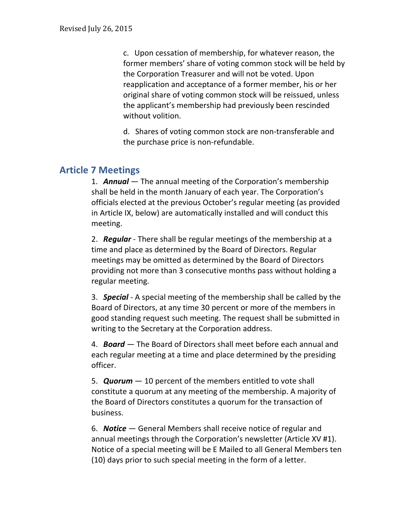c. Upon cessation of membership, for whatever reason, the former members' share of voting common stock will be held by the Corporation Treasurer and will not be voted. Upon reapplication and acceptance of a former member, his or her original share of voting common stock will be reissued, unless the applicant's membership had previously been rescinded without volition.

d. Shares of voting common stock are non-transferable and the purchase price is non-refundable.

## **Article(7 Meetings**

1. **Annual** — The annual meeting of the Corporation's membership shall be held in the month January of each year. The Corporation's officials elected at the previous October's regular meeting (as provided in Article IX, below) are automatically installed and will conduct this meeting.

2. **Regular** - There shall be regular meetings of the membership at a time and place as determined by the Board of Directors. Regular meetings may be omitted as determined by the Board of Directors providing not more than 3 consecutive months pass without holding a regular meeting.

3. **Special** - A special meeting of the membership shall be called by the Board of Directors, at any time 30 percent or more of the members in good standing request such meeting. The request shall be submitted in writing to the Secretary at the Corporation address.

4. **Board** – The Board of Directors shall meet before each annual and each regular meeting at a time and place determined by the presiding officer.

5. **Quorum**  $-10$  percent of the members entitled to vote shall constitute a quorum at any meeting of the membership. A majority of the Board of Directors constitutes a quorum for the transaction of business.

6. **Notice** – General Members shall receive notice of regular and annual meetings through the Corporation's newsletter (Article XV #1). Notice of a special meeting will be E Mailed to all General Members ten (10) days prior to such special meeting in the form of a letter.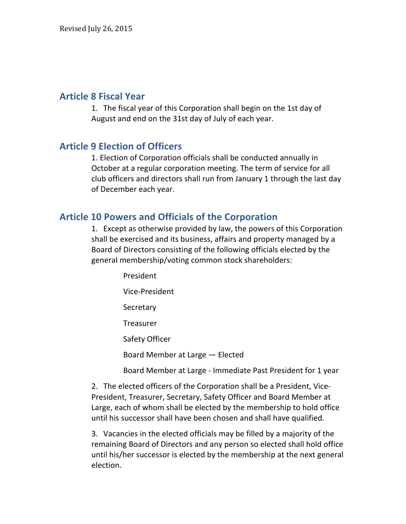#### **Article(8 Fiscal(Year**

1. The fiscal year of this Corporation shall begin on the 1st day of August and end on the 31st day of July of each year.

#### **Article 9 Election of Officers**

1. Election of Corporation officials shall be conducted annually in October at a regular corporation meeting. The term of service for all club officers and directors shall run from January 1 through the last day of December each year.

#### **Article 10 Powers and Officials of the Corporation**

1. Except as otherwise provided by law, the powers of this Corporation shall be exercised and its business, affairs and property managed by a Board of Directors consisting of the following officials elected by the general membership/voting common stock shareholders:

> President Vice-President **Secretary** Treasurer Safety Officer Board Member at Large - Elected Board Member at Large - Immediate Past President for 1 year

2. The elected officers of the Corporation shall be a President, Vice-President, Treasurer, Secretary, Safety Officer and Board Member at Large, each of whom shall be elected by the membership to hold office until his successor shall have been chosen and shall have qualified.

3. Vacancies in the elected officials may be filled by a majority of the remaining Board of Directors and any person so elected shall hold office until his/her successor is elected by the membership at the next general election.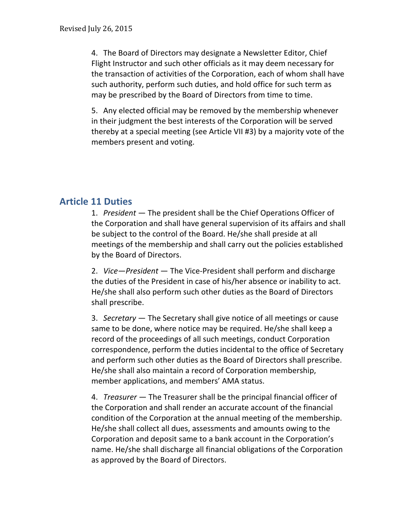4. The Board of Directors may designate a Newsletter Editor, Chief Flight Instructor and such other officials as it may deem necessary for the transaction of activities of the Corporation, each of whom shall have such authority, perform such duties, and hold office for such term as may be prescribed by the Board of Directors from time to time.

5. Any elected official may be removed by the membership whenever in their judgment the best interests of the Corporation will be served thereby at a special meeting (see Article VII #3) by a majority vote of the members present and voting.

## **Article(11 Duties**

1. *President* — The president shall be the Chief Operations Officer of the Corporation and shall have general supervision of its affairs and shall be subject to the control of the Board. He/she shall preside at all meetings of the membership and shall carry out the policies established by the Board of Directors.

2. *Vice—President* — The Vice-President shall perform and discharge the duties of the President in case of his/her absence or inability to act. He/she shall also perform such other duties as the Board of Directors shall prescribe.

3. *Secretary* — The Secretary shall give notice of all meetings or cause same to be done, where notice may be required. He/she shall keep a record of the proceedings of all such meetings, conduct Corporation correspondence, perform the duties incidental to the office of Secretary and perform such other duties as the Board of Directors shall prescribe. He/she shall also maintain a record of Corporation membership, member applications, and members' AMA status.

4. *Treasurer* – The Treasurer shall be the principal financial officer of the Corporation and shall render an accurate account of the financial condition of the Corporation at the annual meeting of the membership. He/she shall collect all dues, assessments and amounts owing to the Corporation and deposit same to a bank account in the Corporation's name. He/she shall discharge all financial obligations of the Corporation as approved by the Board of Directors.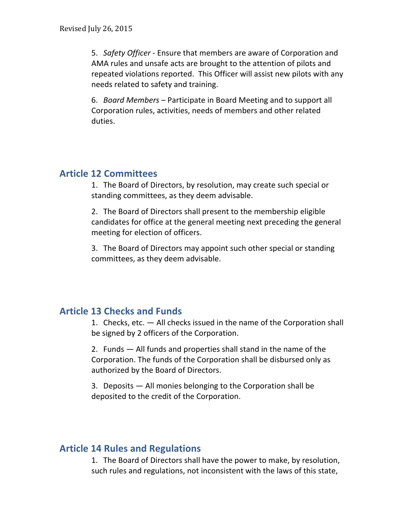5. *Safety Officer* - Ensure that members are aware of Corporation and AMA rules and unsafe acts are brought to the attention of pilots and repeated violations reported. This Officer will assist new pilots with any needs related to safety and training.

6. *Board Members* – Participate in Board Meeting and to support all Corporation rules, activities, needs of members and other related duties.

### **Article(12 Committees**

1. The Board of Directors, by resolution, may create such special or standing committees, as they deem advisable.

2. The Board of Directors shall present to the membership eligible candidates for office at the general meeting next preceding the general meeting for election of officers.

3. The Board of Directors may appoint such other special or standing committees, as they deem advisable.

## **Article 13 Checks and Funds**

1. Checks, etc.  $-$  All checks issued in the name of the Corporation shall be signed by 2 officers of the Corporation.

2. Funds  $-$  All funds and properties shall stand in the name of the Corporation. The funds of the Corporation shall be disbursed only as authorized by the Board of Directors.

3. Deposits  $-$  All monies belonging to the Corporation shall be deposited to the credit of the Corporation.

## **Article 14 Rules and Regulations**

1. The Board of Directors shall have the power to make, by resolution, such rules and regulations, not inconsistent with the laws of this state,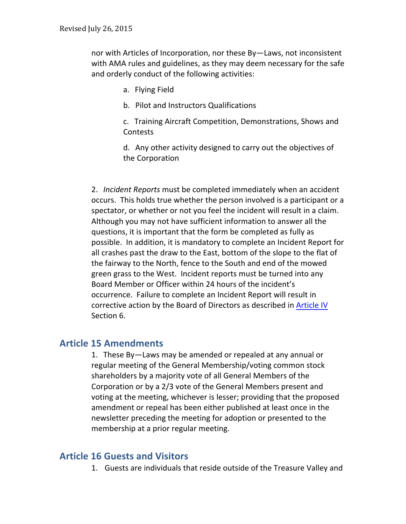nor with Articles of Incorporation, nor these By—Laws, not inconsistent with AMA rules and guidelines, as they may deem necessary for the safe and orderly conduct of the following activities:

- a. Flying Field
- b. Pilot and Instructors Qualifications

c. Training Aircraft Competition, Demonstrations, Shows and Contests

d. Any other activity designed to carry out the objectives of the Corporation

2. *Incident Reports* must be completed immediately when an accident occurs. This holds true whether the person involved is a participant or a spectator, or whether or not you feel the incident will result in a claim. Although you may not have sufficient information to answer all the questions, it is important that the form be completed as fully as possible. In addition, it is mandatory to complete an Incident Report for all crashes past the draw to the East, bottom of the slope to the flat of the fairway to the North, fence to the South and end of the mowed green grass to the West. Incident reports must be turned into any Board Member or Officer within 24 hours of the incident's occurrence. Failure to complete an Incident Report will result in corrective action by the Board of Directors as described in Article IV Section 6.

## **Article(15 Amendments**

1. These By—Laws may be amended or repealed at any annual or regular meeting of the General Membership/voting common stock shareholders by a majority vote of all General Members of the Corporation or by a 2/3 vote of the General Members present and voting at the meeting, whichever is lesser; providing that the proposed amendment or repeal has been either published at least once in the newsletter preceding the meeting for adoption or presented to the membership at a prior regular meeting.

## **Article 16 Guests and Visitors**

1. Guests are individuals that reside outside of the Treasure Valley and